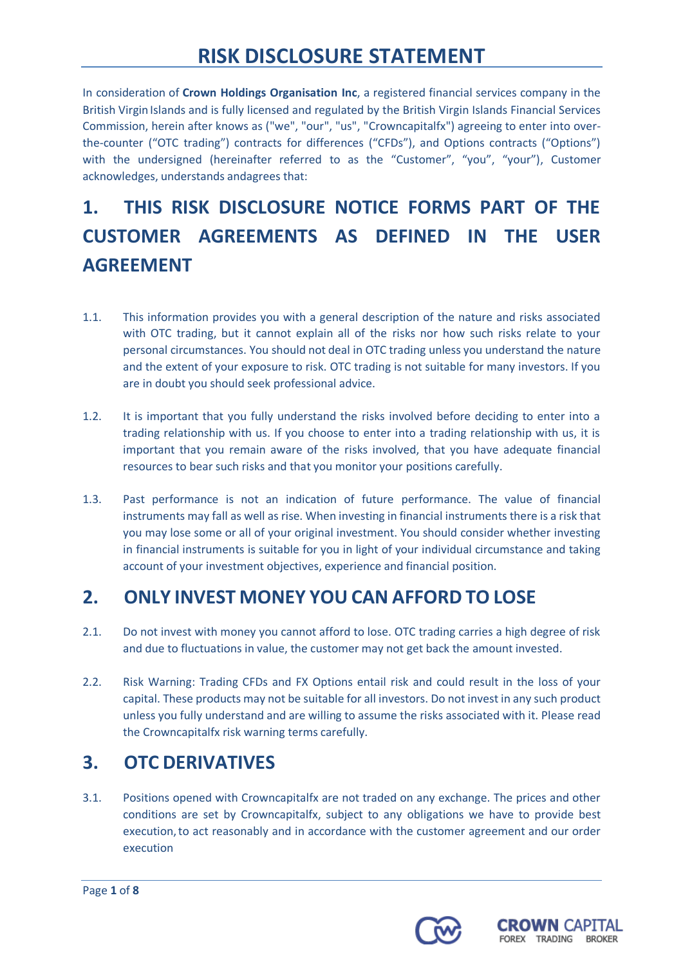In consideration of **Crown Holdings Organisation Inc**, a registered financial services company in the British Virgin Islands and is fully licensed and regulated by the British Virgin Islands Financial Services Commission, herein after knows as ("we", "our", "us", "Crowncapitalfx") agreeing to enter into overthe-counter ("OTC trading") contracts for differences ("CFDs"), and Options contracts ("Options") with the undersigned (hereinafter referred to as the "Customer", "you", "your"), Customer acknowledges, understands andagrees that:

# **1. THIS RISK DISCLOSURE NOTICE FORMS PART OF THE CUSTOMER AGREEMENTS AS DEFINED IN THE USER AGREEMENT**

- 1.1. This information provides you with a general description of the nature and risks associated with OTC trading, but it cannot explain all of the risks nor how such risks relate to your personal circumstances. You should not deal in OTC trading unless you understand the nature and the extent of your exposure to risk. OTC trading is not suitable for many investors. If you are in doubt you should seek professional advice.
- 1.2. It is important that you fully understand the risks involved before deciding to enter into a trading relationship with us. If you choose to enter into a trading relationship with us, it is important that you remain aware of the risks involved, that you have adequate financial resources to bear such risks and that you monitor your positions carefully.
- 1.3. Past performance is not an indication of future performance. The value of financial instruments may fall as well as rise. When investing in financial instruments there is a risk that you may lose some or all of your original investment. You should consider whether investing in financial instruments is suitable for you in light of your individual circumstance and taking account of your investment objectives, experience and financial position.

### **2. ONLY INVEST MONEY YOU CAN AFFORD TO LOSE**

- 2.1. Do not invest with money you cannot afford to lose. OTC trading carries a high degree of risk and due to fluctuations in value, the customer may not get back the amount invested.
- 2.2. Risk Warning: Trading CFDs and FX Options entail risk and could result in the loss of your capital. These products may not be suitable for all investors. Do not invest in any such product unless you fully understand and are willing to assume the risks associated with it. Please read the Crowncapitalfx risk warning terms carefully.

## **3. OTC DERIVATIVES**

3.1. Positions opened with Crowncapitalfx are not traded on any exchange. The prices and other conditions are set by Crowncapitalfx, subject to any obligations we have to provide best execution,to act reasonably and in accordance with the customer agreement and our order execution



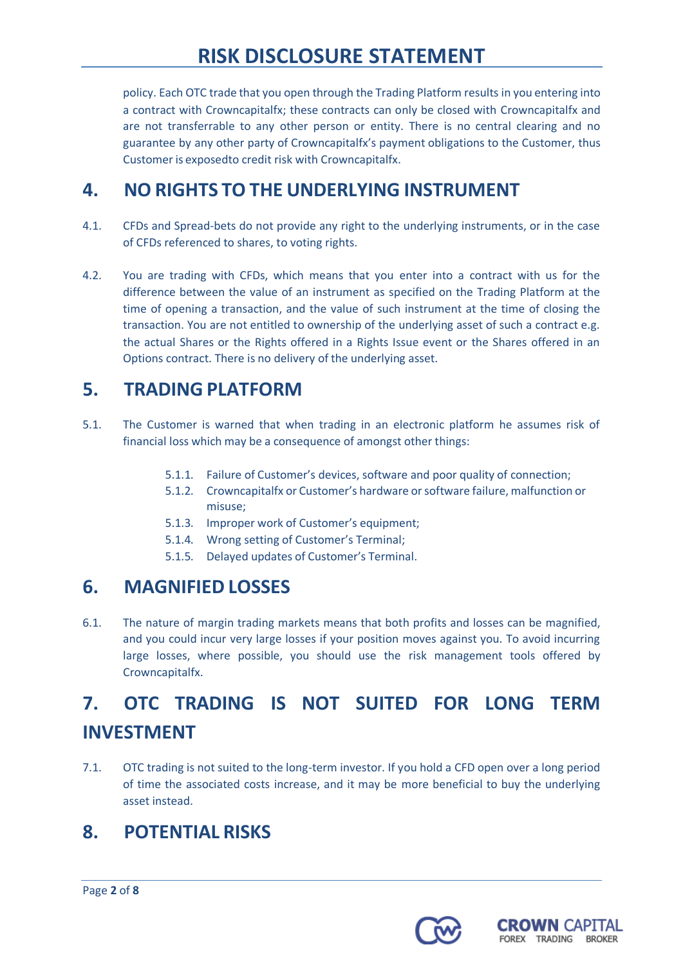policy. Each OTC trade that you open through the Trading Platform results in you entering into a contract with Crowncapitalfx; these contracts can only be closed with Crowncapitalfx and are not transferrable to any other person or entity. There is no central clearing and no guarantee by any other party of Crowncapitalfx's payment obligations to the Customer, thus Customer is exposedto credit risk with Crowncapitalfx.

#### **4. NO RIGHTS TO THE UNDERLYING INSTRUMENT**

- 4.1. CFDs and Spread-bets do not provide any right to the underlying instruments, or in the case of CFDs referenced to shares, to voting rights.
- 4.2. You are trading with CFDs, which means that you enter into a contract with us for the difference between the value of an instrument as specified on the Trading Platform at the time of opening a transaction, and the value of such instrument at the time of closing the transaction. You are not entitled to ownership of the underlying asset of such a contract e.g. the actual Shares or the Rights offered in a Rights Issue event or the Shares offered in an Options contract. There is no delivery of the underlying asset.

#### **5. TRADING PLATFORM**

- 5.1. The Customer is warned that when trading in an electronic platform he assumes risk of financial loss which may be a consequence of amongst other things:
	- 5.1.1. Failure of Customer's devices, software and poor quality of connection;
	- 5.1.2. Crowncapitalfx or Customer's hardware orsoftware failure, malfunction or misuse;
	- 5.1.3. Improper work of Customer's equipment;
	- 5.1.4. Wrong setting of Customer's Terminal;
	- 5.1.5. Delayed updates of Customer's Terminal.

#### **6. MAGNIFIED LOSSES**

6.1. The nature of margin trading markets means that both profits and losses can be magnified, and you could incur very large losses if your position moves against you. To avoid incurring large losses, where possible, you should use the risk management tools offered by Crowncapitalfx.

# **7. OTC TRADING IS NOT SUITED FOR LONG TERM INVESTMENT**

7.1. OTC trading is not suited to the long-term investor. If you hold a CFD open over a long period of time the associated costs increase, and it may be more beneficial to buy the underlying asset instead.

### **8. POTENTIAL RISKS**



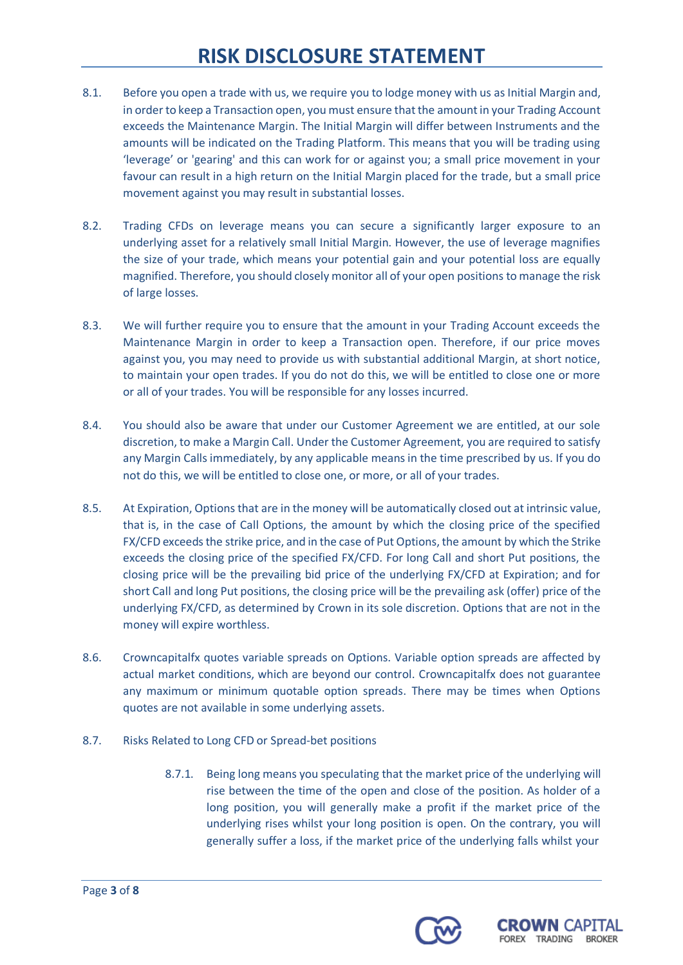- 8.1. Before you open a trade with us, we require you to lodge money with us as Initial Margin and, in order to keep a Transaction open, you must ensure that the amount in your Trading Account exceeds the Maintenance Margin. The Initial Margin will differ between Instruments and the amounts will be indicated on the Trading Platform. This means that you will be trading using 'leverage' or 'gearing' and this can work for or against you; a small price movement in your favour can result in a high return on the Initial Margin placed for the trade, but a small price movement against you may result in substantial losses.
- 8.2. Trading CFDs on leverage means you can secure a significantly larger exposure to an underlying asset for a relatively small Initial Margin. However, the use of leverage magnifies the size of your trade, which means your potential gain and your potential loss are equally magnified. Therefore, you should closely monitor all of your open positions to manage the risk of large losses.
- 8.3. We will further require you to ensure that the amount in your Trading Account exceeds the Maintenance Margin in order to keep a Transaction open. Therefore, if our price moves against you, you may need to provide us with substantial additional Margin, at short notice, to maintain your open trades. If you do not do this, we will be entitled to close one or more or all of your trades. You will be responsible for any losses incurred.
- 8.4. You should also be aware that under our Customer Agreement we are entitled, at our sole discretion, to make a Margin Call. Under the Customer Agreement, you are required to satisfy any Margin Calls immediately, by any applicable means in the time prescribed by us. If you do not do this, we will be entitled to close one, or more, or all of your trades.
- 8.5. At Expiration, Options that are in the money will be automatically closed out at intrinsic value, that is, in the case of Call Options, the amount by which the closing price of the specified FX/CFD exceeds the strike price, and in the case of Put Options, the amount by which the Strike exceeds the closing price of the specified FX/CFD. For long Call and short Put positions, the closing price will be the prevailing bid price of the underlying FX/CFD at Expiration; and for short Call and long Put positions, the closing price will be the prevailing ask (offer) price of the underlying FX/CFD, as determined by Crown in its sole discretion. Options that are not in the money will expire worthless.
- 8.6. Crowncapitalfx quotes variable spreads on Options. Variable option spreads are affected by actual market conditions, which are beyond our control. Crowncapitalfx does not guarantee any maximum or minimum quotable option spreads. There may be times when Options quotes are not available in some underlying assets.
- 8.7. Risks Related to Long CFD or Spread-bet positions
	- 8.7.1. Being long means you speculating that the market price of the underlying will rise between the time of the open and close of the position. As holder of a long position, you will generally make a profit if the market price of the underlying rises whilst your long position is open. On the contrary, you will generally suffer a loss, if the market price of the underlying falls whilst your



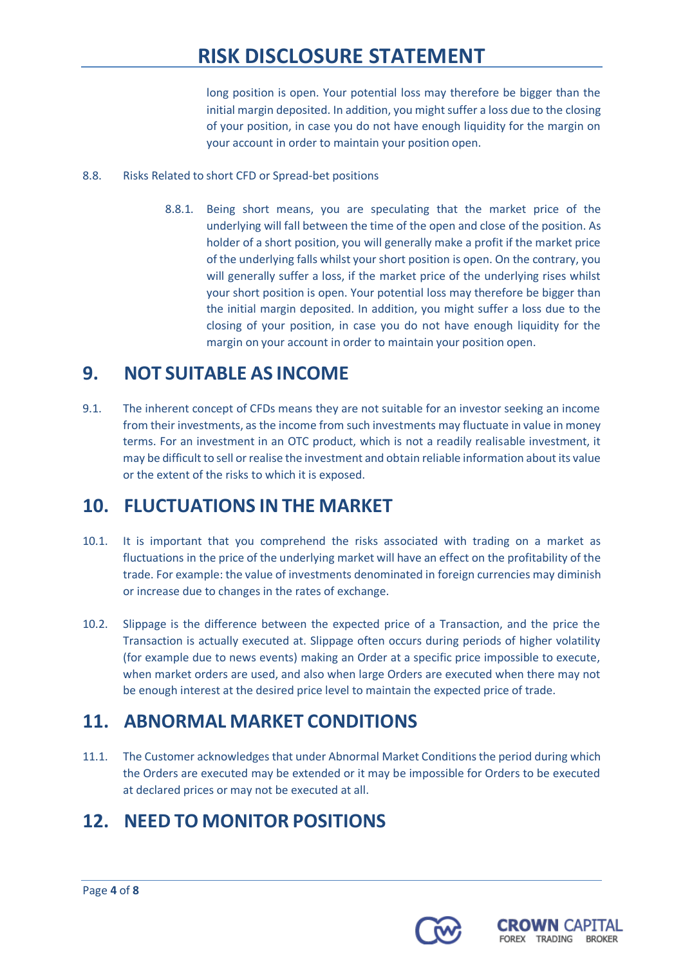long position is open. Your potential loss may therefore be bigger than the initial margin deposited. In addition, you might suffer a loss due to the closing of your position, in case you do not have enough liquidity for the margin on your account in order to maintain your position open.

- 8.8. Risks Related to short CFD or Spread-bet positions
	- 8.8.1. Being short means, you are speculating that the market price of the underlying will fall between the time of the open and close of the position. As holder of a short position, you will generally make a profit if the market price of the underlying falls whilst your short position is open. On the contrary, you will generally suffer a loss, if the market price of the underlying rises whilst your short position is open. Your potential loss may therefore be bigger than the initial margin deposited. In addition, you might suffer a loss due to the closing of your position, in case you do not have enough liquidity for the margin on your account in order to maintain your position open.

### **9. NOT SUITABLE AS INCOME**

9.1. The inherent concept of CFDs means they are not suitable for an investor seeking an income from their investments, as the income from such investments may fluctuate in value in money terms. For an investment in an OTC product, which is not a readily realisable investment, it may be difficult to sell or realise the investment and obtain reliable information about its value or the extent of the risks to which it is exposed.

### **10. FLUCTUATIONS IN THE MARKET**

- 10.1. It is important that you comprehend the risks associated with trading on a market as fluctuations in the price of the underlying market will have an effect on the profitability of the trade. For example: the value of investments denominated in foreign currencies may diminish or increase due to changes in the rates of exchange.
- 10.2. Slippage is the difference between the expected price of a Transaction, and the price the Transaction is actually executed at. Slippage often occurs during periods of higher volatility (for example due to news events) making an Order at a specific price impossible to execute, when market orders are used, and also when large Orders are executed when there may not be enough interest at the desired price level to maintain the expected price of trade.

### **11. ABNORMAL MARKET CONDITIONS**

11.1. The Customer acknowledges that under Abnormal Market Conditionsthe period during which the Orders are executed may be extended or it may be impossible for Orders to be executed at declared prices or may not be executed at all.

## **12. NEED TO MONITOR POSITIONS**

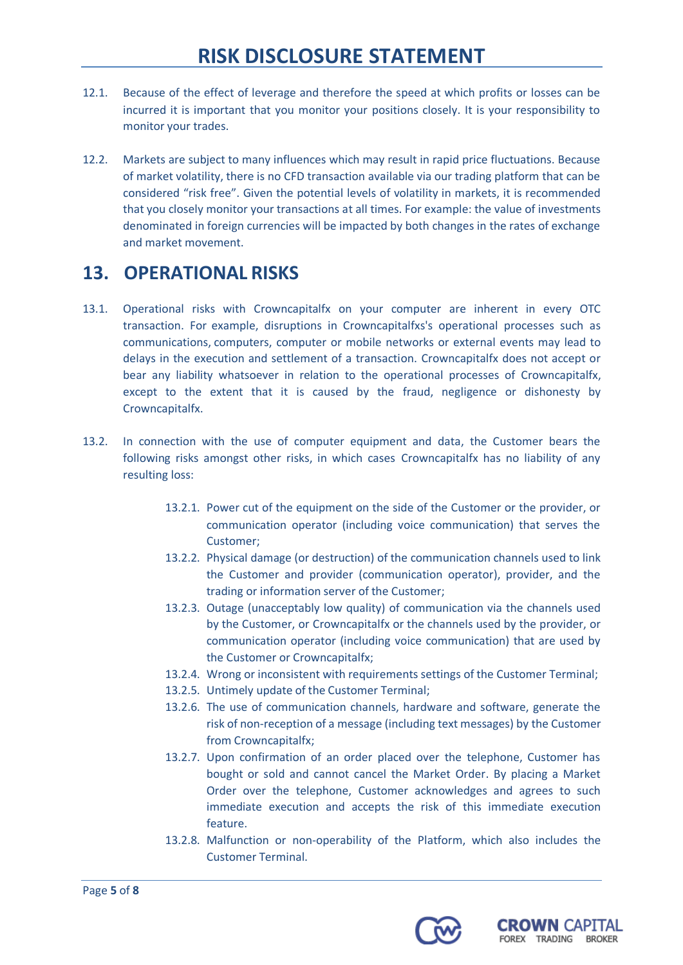- 12.1. Because of the effect of leverage and therefore the speed at which profits or losses can be incurred it is important that you monitor your positions closely. It is your responsibility to monitor your trades.
- 12.2. Markets are subject to many influences which may result in rapid price fluctuations. Because of market volatility, there is no CFD transaction available via our trading platform that can be considered "risk free". Given the potential levels of volatility in markets, it is recommended that you closely monitor your transactions at all times. For example: the value of investments denominated in foreign currencies will be impacted by both changes in the rates of exchange and market movement.

#### **13. OPERATIONAL RISKS**

- 13.1. Operational risks with Crowncapitalfx on your computer are inherent in every OTC transaction. For example, disruptions in Crowncapitalfxs's operational processes such as communications, computers, computer or mobile networks or external events may lead to delays in the execution and settlement of a transaction. Crowncapitalfx does not accept or bear any liability whatsoever in relation to the operational processes of Crowncapitalfx, except to the extent that it is caused by the fraud, negligence or dishonesty by Crowncapitalfx.
- 13.2. In connection with the use of computer equipment and data, the Customer bears the following risks amongst other risks, in which cases Crowncapitalfx has no liability of any resulting loss:
	- 13.2.1. Power cut of the equipment on the side of the Customer or the provider, or communication operator (including voice communication) that serves the Customer;
	- 13.2.2. Physical damage (or destruction) of the communication channels used to link the Customer and provider (communication operator), provider, and the trading or information server of the Customer;
	- 13.2.3. Outage (unacceptably low quality) of communication via the channels used by the Customer, or Crowncapitalfx or the channels used by the provider, or communication operator (including voice communication) that are used by the Customer or Crowncapitalfx;
	- 13.2.4. Wrong or inconsistent with requirements settings of the Customer Terminal;
	- 13.2.5. Untimely update of the Customer Terminal;
	- 13.2.6. The use of communication channels, hardware and software, generate the risk of non-reception of a message (including text messages) by the Customer from Crowncapitalfx;
	- 13.2.7. Upon confirmation of an order placed over the telephone, Customer has bought or sold and cannot cancel the Market Order. By placing a Market Order over the telephone, Customer acknowledges and agrees to such immediate execution and accepts the risk of this immediate execution feature.
	- 13.2.8. Malfunction or non-operability of the Platform, which also includes the Customer Terminal.



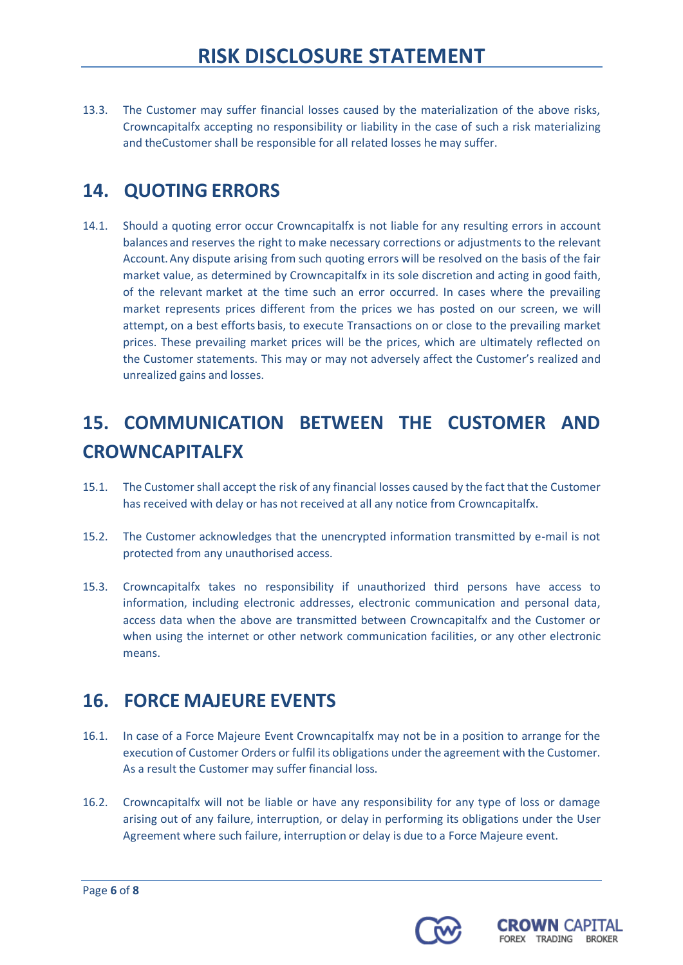13.3. The Customer may suffer financial losses caused by the materialization of the above risks, Crowncapitalfx accepting no responsibility or liability in the case of such a risk materializing and theCustomer shall be responsible for all related losses he may suffer.

## **14. QUOTING ERRORS**

14.1. Should a quoting error occur Crowncapitalfx is not liable for any resulting errors in account balances and reserves the right to make necessary corrections or adjustments to the relevant Account.Any dispute arising from such quoting errors will be resolved on the basis of the fair market value, as determined by Crowncapitalfx in its sole discretion and acting in good faith, of the relevant market at the time such an error occurred. In cases where the prevailing market represents prices different from the prices we has posted on our screen, we will attempt, on a best efforts basis, to execute Transactions on or close to the prevailing market prices. These prevailing market prices will be the prices, which are ultimately reflected on the Customer statements. This may or may not adversely affect the Customer's realized and unrealized gains and losses.

# **15. COMMUNICATION BETWEEN THE CUSTOMER AND CROWNCAPITALFX**

- 15.1. The Customer shall accept the risk of any financial losses caused by the fact that the Customer has received with delay or has not received at all any notice from Crowncapitalfx.
- 15.2. The Customer acknowledges that the unencrypted information transmitted by e-mail is not protected from any unauthorised access.
- 15.3. Crowncapitalfx takes no responsibility if unauthorized third persons have access to information, including electronic addresses, electronic communication and personal data, access data when the above are transmitted between Crowncapitalfx and the Customer or when using the internet or other network communication facilities, or any other electronic means.

### **16. FORCE MAJEURE EVENTS**

- 16.1. In case of a Force Majeure Event Crowncapitalfx may not be in a position to arrange for the execution of Customer Orders or fulfil its obligations under the agreement with the Customer. As a result the Customer may suffer financial loss.
- 16.2. Crowncapitalfx will not be liable or have any responsibility for any type of loss or damage arising out of any failure, interruption, or delay in performing its obligations under the User Agreement where such failure, interruption or delay is due to a Force Majeure event.



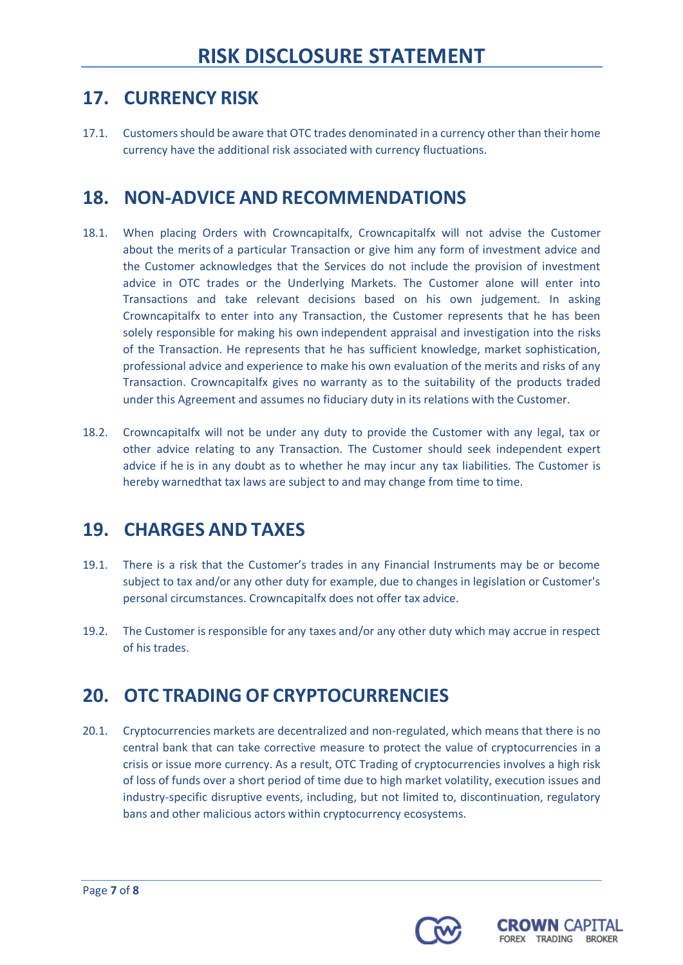### **17. CURRENCY RISK**

17.1. Customers should be aware that OTC trades denominated in a currency other than their home currency have the additional risk associated with currency fluctuations.

### **18. NON-ADVICE AND RECOMMENDATIONS**

- 18.1. When placing Orders with Crowncapitalfx, Crowncapitalfx will not advise the Customer about the merits of a particular Transaction or give him any form of investment advice and the Customer acknowledges that the Services do not include the provision of investment advice in OTC trades or the Underlying Markets. The Customer alone will enter into Transactions and take relevant decisions based on his own judgement. In asking Crowncapitalfx to enter into any Transaction, the Customer represents that he has been solely responsible for making his own independent appraisal and investigation into the risks of the Transaction. He represents that he has sufficient knowledge, market sophistication, professional advice and experience to make his own evaluation of the merits and risks of any Transaction. Crowncapitalfx gives no warranty as to the suitability of the products traded under this Agreement and assumes no fiduciary duty in its relations with the Customer.
- 18.2. Crowncapitalfx will not be under any duty to provide the Customer with any legal, tax or other advice relating to any Transaction. The Customer should seek independent expert advice if he is in any doubt as to whether he may incur any tax liabilities. The Customer is hereby warnedthat tax laws are subject to and may change from time to time.

### **19. CHARGES AND TAXES**

- 19.1. There is a risk that the Customer's trades in any Financial Instruments may be or become subject to tax and/or any other duty for example, due to changes in legislation or Customer's personal circumstances. Crowncapitalfx does not offer tax advice.
- 19.2. The Customer is responsible for any taxes and/or any other duty which may accrue in respect of his trades.

### **20. OTC TRADING OF CRYPTOCURRENCIES**

20.1. Cryptocurrencies markets are decentralized and non-regulated, which means that there is no central bank that can take corrective measure to protect the value of cryptocurrencies in a crisis or issue more currency. As a result, OTC Trading of cryptocurrencies involves a high risk of loss of funds over a short period of time due to high market volatility, execution issues and industry-specific disruptive events, including, but not limited to, discontinuation, regulatory bans and other malicious actors within cryptocurrency ecosystems.